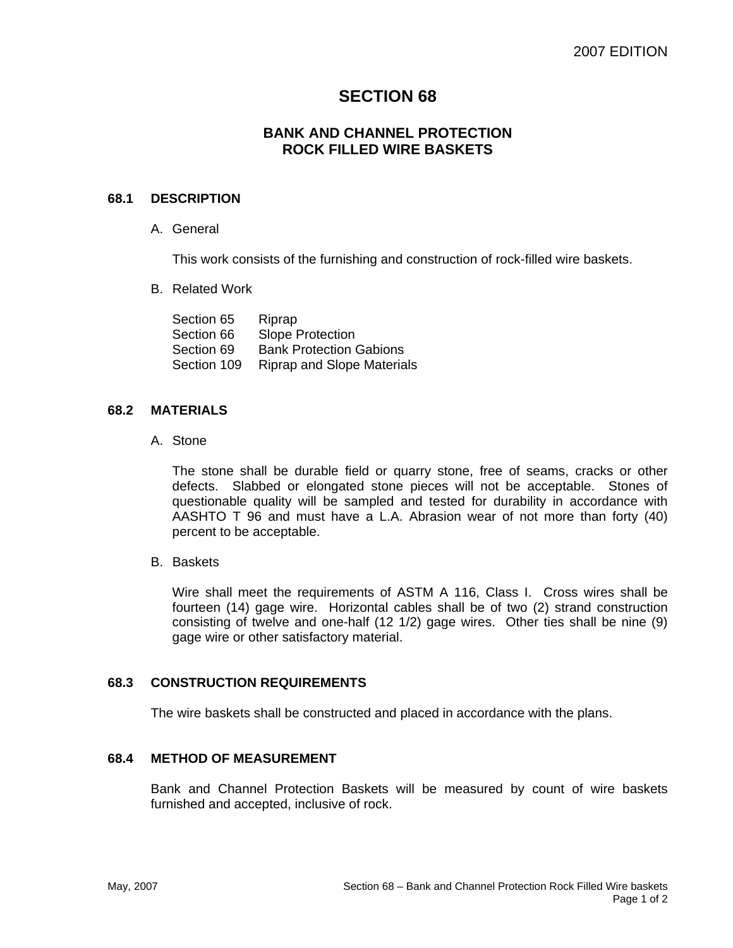# **SECTION 68**

# **BANK AND CHANNEL PROTECTION ROCK FILLED WIRE BASKETS**

#### **68.1 DESCRIPTION**

A. General

This work consists of the furnishing and construction of rock-filled wire baskets.

B. Related Work

| Riprap                            |
|-----------------------------------|
| <b>Slope Protection</b>           |
| <b>Bank Protection Gabions</b>    |
| <b>Riprap and Slope Materials</b> |
|                                   |

#### **68.2 MATERIALS**

A. Stone

The stone shall be durable field or quarry stone, free of seams, cracks or other defects. Slabbed or elongated stone pieces will not be acceptable. Stones of questionable quality will be sampled and tested for durability in accordance with AASHTO T 96 and must have a L.A. Abrasion wear of not more than forty (40) percent to be acceptable.

B. Baskets

Wire shall meet the requirements of ASTM A 116, Class I. Cross wires shall be fourteen (14) gage wire. Horizontal cables shall be of two (2) strand construction consisting of twelve and one-half (12 1/2) gage wires. Other ties shall be nine (9) gage wire or other satisfactory material.

# **68.3 CONSTRUCTION REQUIREMENTS**

The wire baskets shall be constructed and placed in accordance with the plans.

# **68.4 METHOD OF MEASUREMENT**

Bank and Channel Protection Baskets will be measured by count of wire baskets furnished and accepted, inclusive of rock.